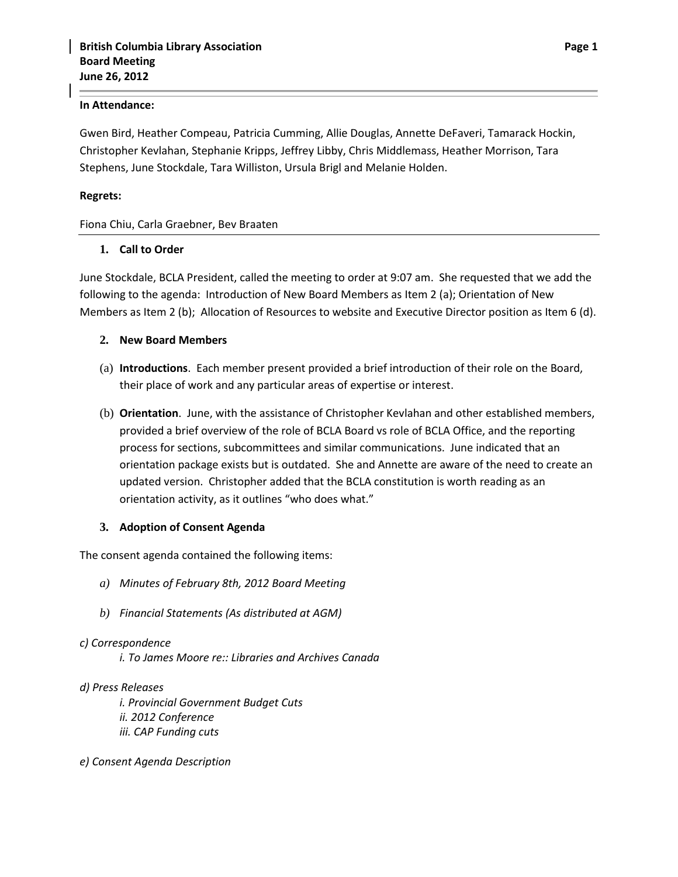#### **In Attendance:**

Gwen Bird, Heather Compeau, Patricia Cumming, Allie Douglas, Annette DeFaveri, Tamarack Hockin, Christopher Kevlahan, Stephanie Kripps, Jeffrey Libby, Chris Middlemass, Heather Morrison, Tara Stephens, June Stockdale, Tara Williston, Ursula Brigl and Melanie Holden.

#### **Regrets:**

Fiona Chiu, Carla Graebner, Bev Braaten

### **1. Call to Order**

June Stockdale, BCLA President, called the meeting to order at 9:07 am. She requested that we add the following to the agenda: Introduction of New Board Members as Item 2 (a); Orientation of New Members as Item 2 (b); Allocation of Resources to website and Executive Director position as Item 6 (d).

### **2. New Board Members**

- (a) **Introductions**. Each member present provided a brief introduction of their role on the Board, their place of work and any particular areas of expertise or interest.
- (b) **Orientation**. June, with the assistance of Christopher Kevlahan and other established members, provided a brief overview of the role of BCLA Board vs role of BCLA Office, and the reporting process for sections, subcommittees and similar communications. June indicated that an orientation package exists but is outdated. She and Annette are aware of the need to create an updated version. Christopher added that the BCLA constitution is worth reading as an orientation activity, as it outlines "who does what."

### **3. Adoption of Consent Agenda**

The consent agenda contained the following items:

- *a) Minutes of February 8th, 2012 Board Meeting*
- *b) Financial Statements (As distributed at AGM)*

#### *c) Correspondence*

*i. To James Moore re:: Libraries and Archives Canada*

### *d) Press Releases*

*i. Provincial Government Budget Cuts ii. 2012 Conference iii. CAP Funding cuts* 

*e) Consent Agenda Description*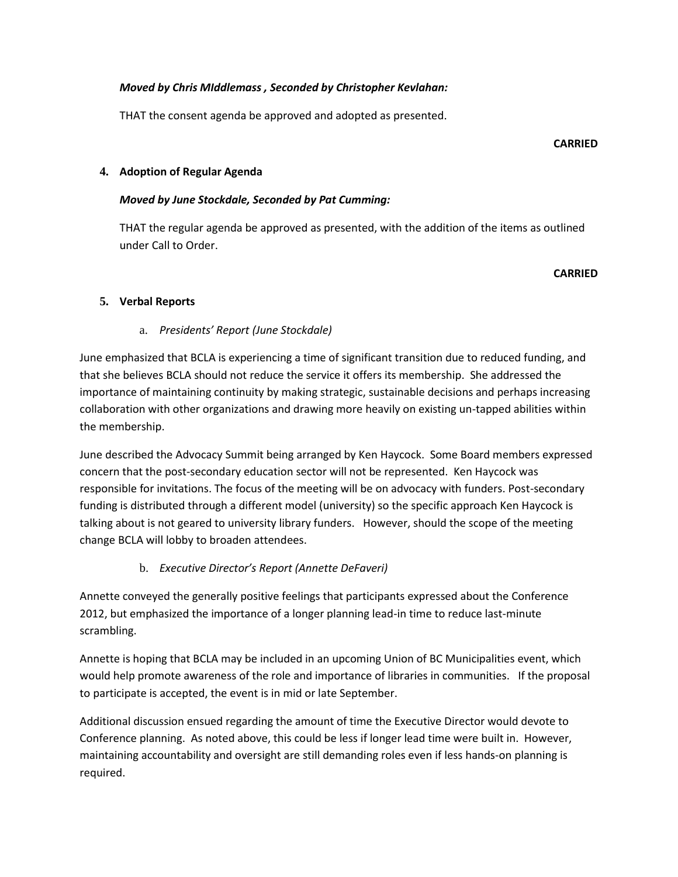# *Moved by Chris MIddlemass , Seconded by Christopher Kevlahan:*

THAT the consent agenda be approved and adopted as presented.

#### **CARRIED**

## **4. Adoption of Regular Agenda**

## *Moved by June Stockdale, Seconded by Pat Cumming:*

THAT the regular agenda be approved as presented, with the addition of the items as outlined under Call to Order.

### **CARRIED**

# **5. Verbal Reports**

# a. *Presidents' Report (June Stockdale)*

June emphasized that BCLA is experiencing a time of significant transition due to reduced funding, and that she believes BCLA should not reduce the service it offers its membership. She addressed the importance of maintaining continuity by making strategic, sustainable decisions and perhaps increasing collaboration with other organizations and drawing more heavily on existing un-tapped abilities within the membership.

June described the Advocacy Summit being arranged by Ken Haycock. Some Board members expressed concern that the post-secondary education sector will not be represented. Ken Haycock was responsible for invitations. The focus of the meeting will be on advocacy with funders. Post-secondary funding is distributed through a different model (university) so the specific approach Ken Haycock is talking about is not geared to university library funders. However, should the scope of the meeting change BCLA will lobby to broaden attendees.

# b. *Executive Director's Report (Annette DeFaveri)*

Annette conveyed the generally positive feelings that participants expressed about the Conference 2012, but emphasized the importance of a longer planning lead-in time to reduce last-minute scrambling.

Annette is hoping that BCLA may be included in an upcoming Union of BC Municipalities event, which would help promote awareness of the role and importance of libraries in communities. If the proposal to participate is accepted, the event is in mid or late September.

Additional discussion ensued regarding the amount of time the Executive Director would devote to Conference planning. As noted above, this could be less if longer lead time were built in. However, maintaining accountability and oversight are still demanding roles even if less hands-on planning is required.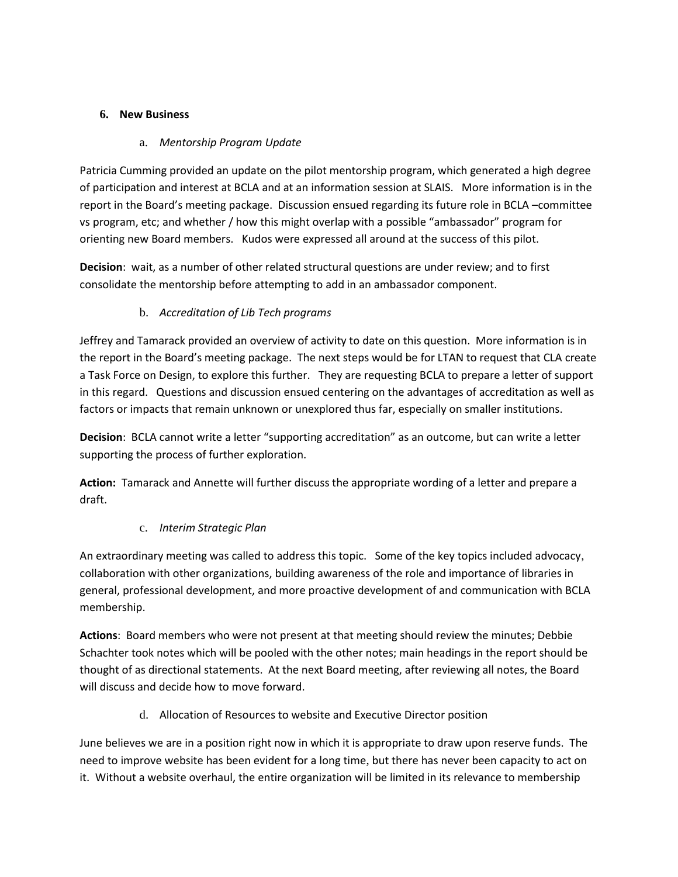# **6. New Business**

# a. *Mentorship Program Update*

Patricia Cumming provided an update on the pilot mentorship program, which generated a high degree of participation and interest at BCLA and at an information session at SLAIS. More information is in the report in the Board's meeting package. Discussion ensued regarding its future role in BCLA –committee vs program, etc; and whether / how this might overlap with a possible "ambassador" program for orienting new Board members. Kudos were expressed all around at the success of this pilot.

**Decision**: wait, as a number of other related structural questions are under review; and to first consolidate the mentorship before attempting to add in an ambassador component.

# b. *Accreditation of Lib Tech programs*

Jeffrey and Tamarack provided an overview of activity to date on this question. More information is in the report in the Board's meeting package. The next steps would be for LTAN to request that CLA create a Task Force on Design, to explore this further. They are requesting BCLA to prepare a letter of support in this regard. Questions and discussion ensued centering on the advantages of accreditation as well as factors or impacts that remain unknown or unexplored thus far, especially on smaller institutions.

**Decision**: BCLA cannot write a letter "supporting accreditation" as an outcome, but can write a letter supporting the process of further exploration.

**Action:** Tamarack and Annette will further discuss the appropriate wording of a letter and prepare a draft.

# c. *Interim Strategic Plan*

An extraordinary meeting was called to address this topic. Some of the key topics included advocacy, collaboration with other organizations, building awareness of the role and importance of libraries in general, professional development, and more proactive development of and communication with BCLA membership.

**Actions**: Board members who were not present at that meeting should review the minutes; Debbie Schachter took notes which will be pooled with the other notes; main headings in the report should be thought of as directional statements. At the next Board meeting, after reviewing all notes, the Board will discuss and decide how to move forward.

d. Allocation of Resources to website and Executive Director position

June believes we are in a position right now in which it is appropriate to draw upon reserve funds. The need to improve website has been evident for a long time, but there has never been capacity to act on it. Without a website overhaul, the entire organization will be limited in its relevance to membership